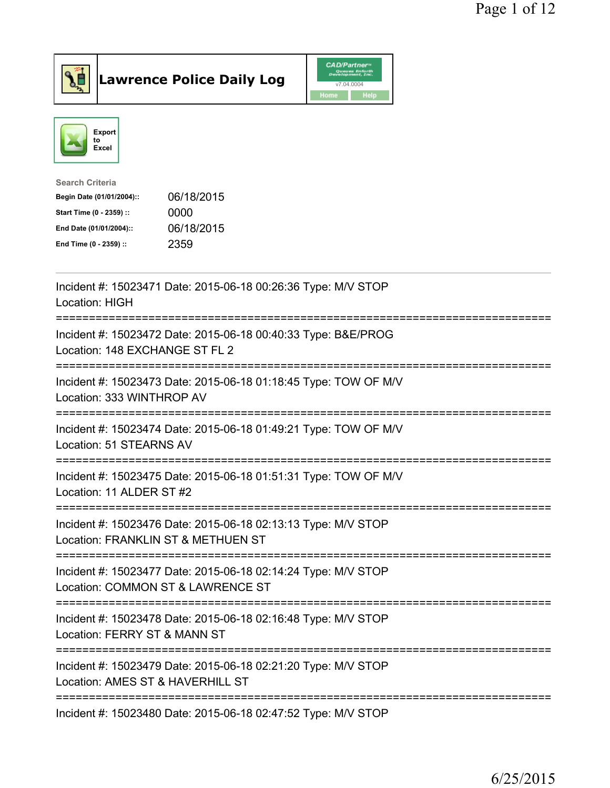



| Incident #: 15023471 Date: 2015-06-18 00:26:36 Type: M/V STOP<br>Location: HIGH<br>:==============================                                    |
|-------------------------------------------------------------------------------------------------------------------------------------------------------|
| Incident #: 15023472 Date: 2015-06-18 00:40:33 Type: B&E/PROG<br>Location: 148 EXCHANGE ST FL 2                                                       |
| Incident #: 15023473 Date: 2015-06-18 01:18:45 Type: TOW OF M/V<br>Location: 333 WINTHROP AV                                                          |
| Incident #: 15023474 Date: 2015-06-18 01:49:21 Type: TOW OF M/V<br>Location: 51 STEARNS AV                                                            |
| Incident #: 15023475 Date: 2015-06-18 01:51:31 Type: TOW OF M/V<br>Location: 11 ALDER ST #2<br>-----------------                                      |
| Incident #: 15023476 Date: 2015-06-18 02:13:13 Type: M/V STOP<br>Location: FRANKLIN ST & METHUEN ST                                                   |
| :==============================<br>------------<br>Incident #: 15023477 Date: 2015-06-18 02:14:24 Type: M/V STOP<br>Location: COMMON ST & LAWRENCE ST |
| Incident #: 15023478 Date: 2015-06-18 02:16:48 Type: M/V STOP<br>Location: FERRY ST & MANN ST                                                         |
| Incident #: 15023479 Date: 2015-06-18 02:21:20 Type: M/V STOP<br>Location: AMES ST & HAVERHILL ST                                                     |
| Incident #: 15023480 Date: 2015-06-18 02:47:52 Type: M/V STOP                                                                                         |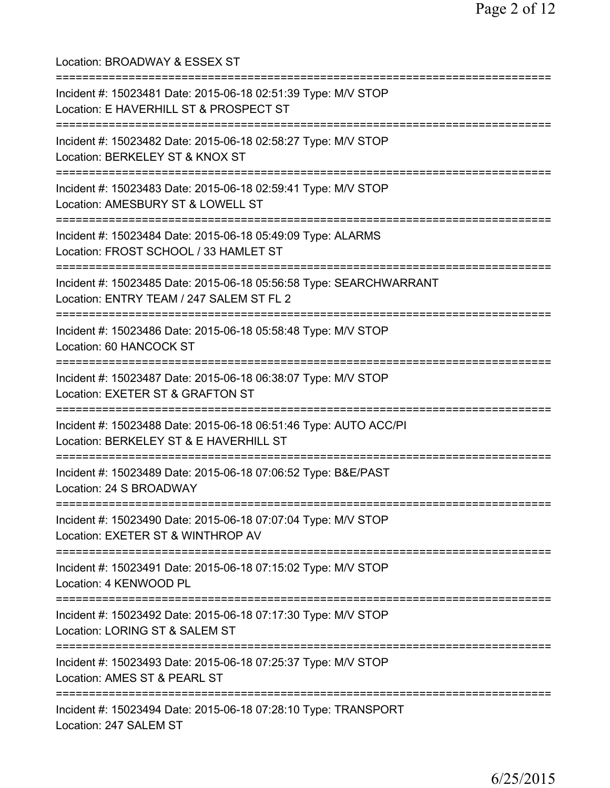Location: BROADWAY & ESSEX ST =========================================================================== Incident #: 15023481 Date: 2015-06-18 02:51:39 Type: M/V STOP Location: E HAVERHILL ST & PROSPECT ST =========================================================================== Incident #: 15023482 Date: 2015-06-18 02:58:27 Type: M/V STOP Location: BERKELEY ST & KNOX ST =========================================================================== Incident #: 15023483 Date: 2015-06-18 02:59:41 Type: M/V STOP Location: AMESBURY ST & LOWELL ST =========================================================================== Incident #: 15023484 Date: 2015-06-18 05:49:09 Type: ALARMS Location: FROST SCHOOL / 33 HAMLET ST =========================================================================== Incident #: 15023485 Date: 2015-06-18 05:56:58 Type: SEARCHWARRANT Location: ENTRY TEAM / 247 SALEM ST FL 2 =========================================================================== Incident #: 15023486 Date: 2015-06-18 05:58:48 Type: M/V STOP Location: 60 HANCOCK ST =========================================================================== Incident #: 15023487 Date: 2015-06-18 06:38:07 Type: M/V STOP Location: EXETER ST & GRAFTON ST =========================================================================== Incident #: 15023488 Date: 2015-06-18 06:51:46 Type: AUTO ACC/PI Location: BERKELEY ST & E HAVERHILL ST =========================================================================== Incident #: 15023489 Date: 2015-06-18 07:06:52 Type: B&E/PAST Location: 24 S BROADWAY =========================================================================== Incident #: 15023490 Date: 2015-06-18 07:07:04 Type: M/V STOP Location: EXETER ST & WINTHROP AV =========================================================================== Incident #: 15023491 Date: 2015-06-18 07:15:02 Type: M/V STOP Location: 4 KENWOOD PL =========================================================================== Incident #: 15023492 Date: 2015-06-18 07:17:30 Type: M/V STOP Location: LORING ST & SALEM ST =========================================================================== Incident #: 15023493 Date: 2015-06-18 07:25:37 Type: M/V STOP Location: AMES ST & PEARL ST =========================================================================== Incident #: 15023494 Date: 2015-06-18 07:28:10 Type: TRANSPORT Location: 247 SALEM ST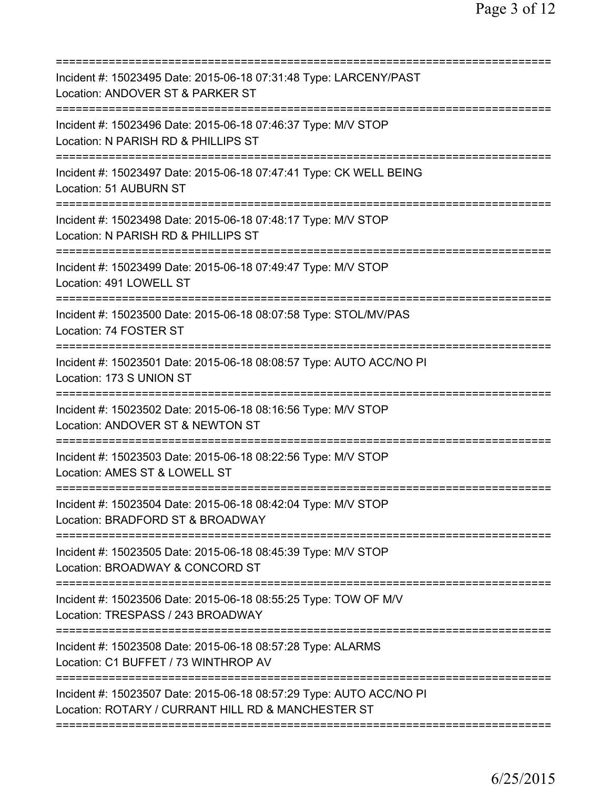| Incident #: 15023495 Date: 2015-06-18 07:31:48 Type: LARCENY/PAST<br>Location: ANDOVER ST & PARKER ST                                   |
|-----------------------------------------------------------------------------------------------------------------------------------------|
| Incident #: 15023496 Date: 2015-06-18 07:46:37 Type: M/V STOP<br>Location: N PARISH RD & PHILLIPS ST                                    |
| Incident #: 15023497 Date: 2015-06-18 07:47:41 Type: CK WELL BEING<br><b>Location: 51 AUBURN ST</b>                                     |
| Incident #: 15023498 Date: 2015-06-18 07:48:17 Type: M/V STOP<br>Location: N PARISH RD & PHILLIPS ST<br>==========================      |
| Incident #: 15023499 Date: 2015-06-18 07:49:47 Type: M/V STOP<br>Location: 491 LOWELL ST                                                |
| Incident #: 15023500 Date: 2015-06-18 08:07:58 Type: STOL/MV/PAS<br>Location: 74 FOSTER ST                                              |
| Incident #: 15023501 Date: 2015-06-18 08:08:57 Type: AUTO ACC/NO PI<br>Location: 173 S UNION ST                                         |
| Incident #: 15023502 Date: 2015-06-18 08:16:56 Type: M/V STOP<br>Location: ANDOVER ST & NEWTON ST                                       |
| Incident #: 15023503 Date: 2015-06-18 08:22:56 Type: M/V STOP<br>Location: AMES ST & LOWELL ST                                          |
| Incident #: 15023504 Date: 2015-06-18 08:42:04 Type: M/V STOP<br>Location: BRADFORD ST & BROADWAY                                       |
| Incident #: 15023505 Date: 2015-06-18 08:45:39 Type: M/V STOP<br>Location: BROADWAY & CONCORD ST                                        |
| Incident #: 15023506 Date: 2015-06-18 08:55:25 Type: TOW OF M/V<br>Location: TRESPASS / 243 BROADWAY<br>=============================== |
| Incident #: 15023508 Date: 2015-06-18 08:57:28 Type: ALARMS<br>Location: C1 BUFFET / 73 WINTHROP AV                                     |
| Incident #: 15023507 Date: 2015-06-18 08:57:29 Type: AUTO ACC/NO PI<br>Location: ROTARY / CURRANT HILL RD & MANCHESTER ST               |
|                                                                                                                                         |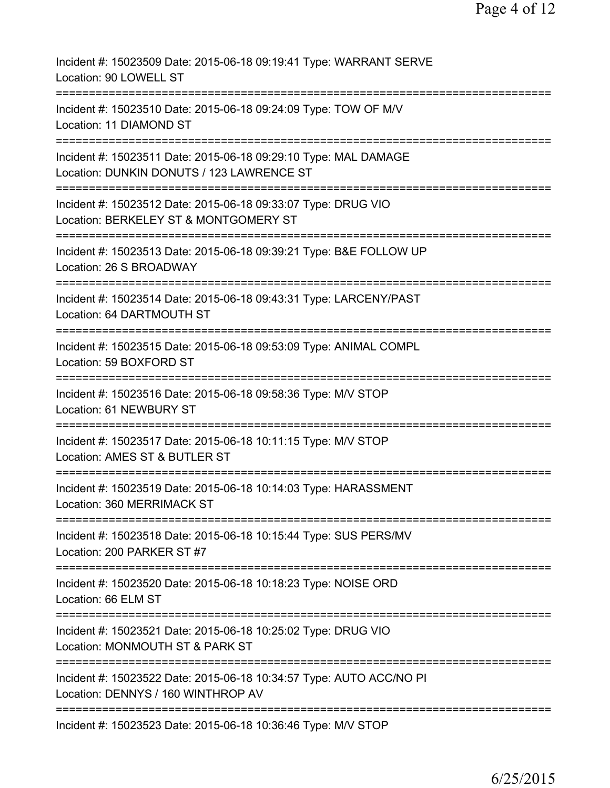| Incident #: 15023509 Date: 2015-06-18 09:19:41 Type: WARRANT SERVE<br>Location: 90 LOWELL ST                                  |
|-------------------------------------------------------------------------------------------------------------------------------|
| Incident #: 15023510 Date: 2015-06-18 09:24:09 Type: TOW OF M/V<br>Location: 11 DIAMOND ST                                    |
| Incident #: 15023511 Date: 2015-06-18 09:29:10 Type: MAL DAMAGE<br>Location: DUNKIN DONUTS / 123 LAWRENCE ST                  |
| Incident #: 15023512 Date: 2015-06-18 09:33:07 Type: DRUG VIO<br>Location: BERKELEY ST & MONTGOMERY ST                        |
| Incident #: 15023513 Date: 2015-06-18 09:39:21 Type: B&E FOLLOW UP<br>Location: 26 S BROADWAY                                 |
| Incident #: 15023514 Date: 2015-06-18 09:43:31 Type: LARCENY/PAST<br>Location: 64 DARTMOUTH ST                                |
| Incident #: 15023515 Date: 2015-06-18 09:53:09 Type: ANIMAL COMPL<br>Location: 59 BOXFORD ST                                  |
| :==============================<br>Incident #: 15023516 Date: 2015-06-18 09:58:36 Type: M/V STOP<br>Location: 61 NEWBURY ST   |
| Incident #: 15023517 Date: 2015-06-18 10:11:15 Type: M/V STOP<br>Location: AMES ST & BUTLER ST                                |
| :============<br>Incident #: 15023519 Date: 2015-06-18 10:14:03 Type: HARASSMENT<br>Location: 360 MERRIMACK ST                |
| ===========================<br>Incident #: 15023518 Date: 2015-06-18 10:15:44 Type: SUS PERS/MV<br>Location: 200 PARKER ST #7 |
| Incident #: 15023520 Date: 2015-06-18 10:18:23 Type: NOISE ORD<br>Location: 66 ELM ST                                         |
| Incident #: 15023521 Date: 2015-06-18 10:25:02 Type: DRUG VIO<br>Location: MONMOUTH ST & PARK ST                              |
| Incident #: 15023522 Date: 2015-06-18 10:34:57 Type: AUTO ACC/NO PI<br>Location: DENNYS / 160 WINTHROP AV                     |
| Incident #: 15023523 Date: 2015-06-18 10:36:46 Type: M/V STOP                                                                 |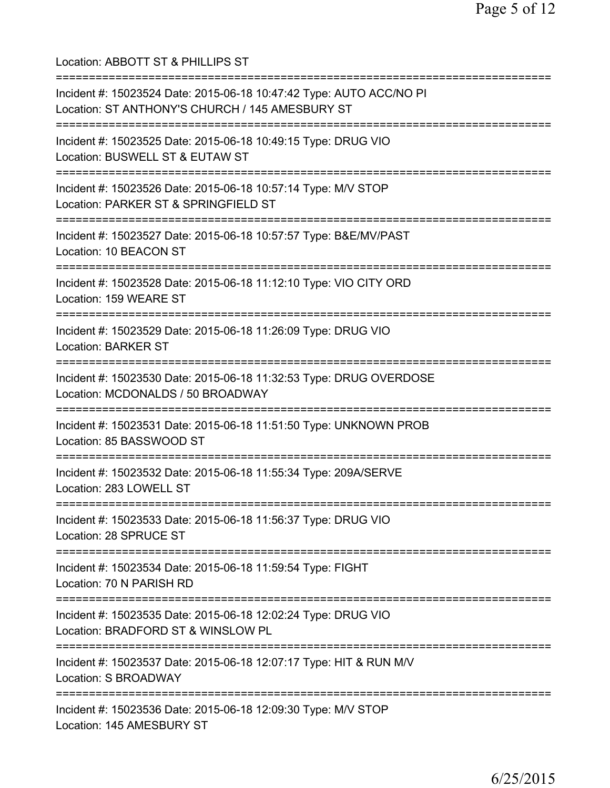Location: ABBOTT ST & PHILLIPS ST =========================================================================== Incident #: 15023524 Date: 2015-06-18 10:47:42 Type: AUTO ACC/NO PI Location: ST ANTHONY'S CHURCH / 145 AMESBURY ST =========================================================================== Incident #: 15023525 Date: 2015-06-18 10:49:15 Type: DRUG VIO Location: BUSWELL ST & EUTAW ST =========================================================================== Incident #: 15023526 Date: 2015-06-18 10:57:14 Type: M/V STOP Location: PARKER ST & SPRINGFIELD ST =========================================================================== Incident #: 15023527 Date: 2015-06-18 10:57:57 Type: B&E/MV/PAST Location: 10 BEACON ST =========================================================================== Incident #: 15023528 Date: 2015-06-18 11:12:10 Type: VIO CITY ORD Location: 159 WEARE ST =========================================================================== Incident #: 15023529 Date: 2015-06-18 11:26:09 Type: DRUG VIO Location: BARKER ST =========================================================================== Incident #: 15023530 Date: 2015-06-18 11:32:53 Type: DRUG OVERDOSE Location: MCDONALDS / 50 BROADWAY =========================================================================== Incident #: 15023531 Date: 2015-06-18 11:51:50 Type: UNKNOWN PROB Location: 85 BASSWOOD ST =========================================================================== Incident #: 15023532 Date: 2015-06-18 11:55:34 Type: 209A/SERVE Location: 283 LOWELL ST =========================================================================== Incident #: 15023533 Date: 2015-06-18 11:56:37 Type: DRUG VIO Location: 28 SPRUCE ST =========================================================================== Incident #: 15023534 Date: 2015-06-18 11:59:54 Type: FIGHT Location: 70 N PARISH RD =========================================================================== Incident #: 15023535 Date: 2015-06-18 12:02:24 Type: DRUG VIO Location: BRADFORD ST & WINSLOW PL =========================================================================== Incident #: 15023537 Date: 2015-06-18 12:07:17 Type: HIT & RUN M/V Location: S BROADWAY =========================================================================== Incident #: 15023536 Date: 2015-06-18 12:09:30 Type: M/V STOP Location: 145 AMESBURY ST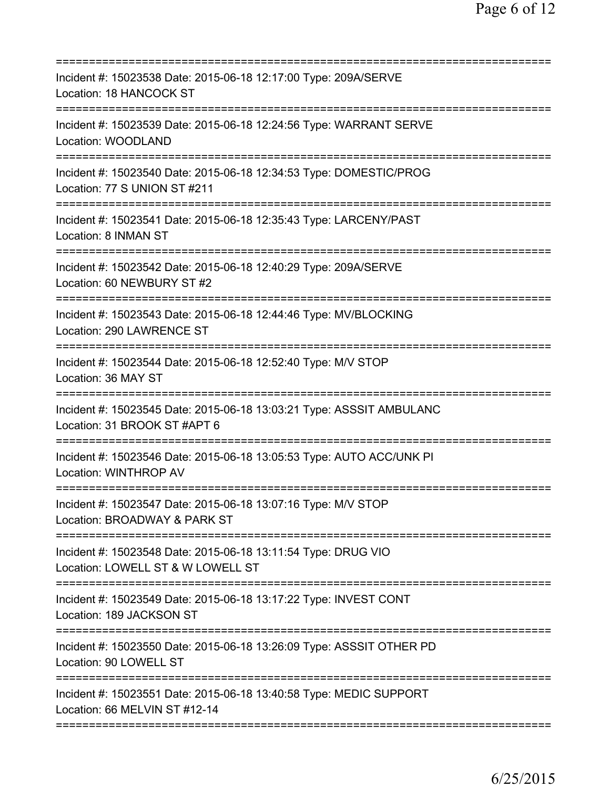| Incident #: 15023538 Date: 2015-06-18 12:17:00 Type: 209A/SERVE<br>Location: 18 HANCOCK ST                         |
|--------------------------------------------------------------------------------------------------------------------|
| Incident #: 15023539 Date: 2015-06-18 12:24:56 Type: WARRANT SERVE<br>Location: WOODLAND                           |
| Incident #: 15023540 Date: 2015-06-18 12:34:53 Type: DOMESTIC/PROG<br>Location: 77 S UNION ST #211                 |
| Incident #: 15023541 Date: 2015-06-18 12:35:43 Type: LARCENY/PAST<br>Location: 8 INMAN ST                          |
| Incident #: 15023542 Date: 2015-06-18 12:40:29 Type: 209A/SERVE<br>Location: 60 NEWBURY ST #2                      |
| Incident #: 15023543 Date: 2015-06-18 12:44:46 Type: MV/BLOCKING<br>Location: 290 LAWRENCE ST                      |
| Incident #: 15023544 Date: 2015-06-18 12:52:40 Type: M/V STOP<br>Location: 36 MAY ST                               |
| Incident #: 15023545 Date: 2015-06-18 13:03:21 Type: ASSSIT AMBULANC<br>Location: 31 BROOK ST #APT 6               |
| Incident #: 15023546 Date: 2015-06-18 13:05:53 Type: AUTO ACC/UNK PI<br><b>Location: WINTHROP AV</b>               |
| =================<br>Incident #: 15023547 Date: 2015-06-18 13:07:16 Type: M/V STOP<br>Location: BROADWAY & PARK ST |
| Incident #: 15023548 Date: 2015-06-18 13:11:54 Type: DRUG VIO<br>Location: LOWELL ST & W LOWELL ST                 |
| Incident #: 15023549 Date: 2015-06-18 13:17:22 Type: INVEST CONT<br>Location: 189 JACKSON ST                       |
| Incident #: 15023550 Date: 2015-06-18 13:26:09 Type: ASSSIT OTHER PD<br>Location: 90 LOWELL ST                     |
| Incident #: 15023551 Date: 2015-06-18 13:40:58 Type: MEDIC SUPPORT<br>Location: 66 MELVIN ST #12-14                |
|                                                                                                                    |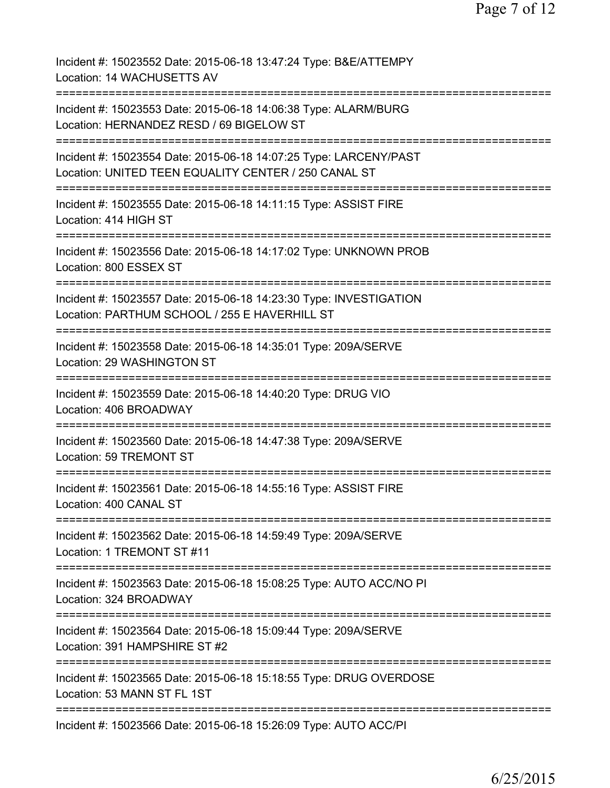| Incident #: 15023552 Date: 2015-06-18 13:47:24 Type: B&E/ATTEMPY<br>Location: 14 WACHUSETTS AV                            |
|---------------------------------------------------------------------------------------------------------------------------|
| Incident #: 15023553 Date: 2015-06-18 14:06:38 Type: ALARM/BURG<br>Location: HERNANDEZ RESD / 69 BIGELOW ST               |
| Incident #: 15023554 Date: 2015-06-18 14:07:25 Type: LARCENY/PAST<br>Location: UNITED TEEN EQUALITY CENTER / 250 CANAL ST |
| Incident #: 15023555 Date: 2015-06-18 14:11:15 Type: ASSIST FIRE<br>Location: 414 HIGH ST                                 |
| Incident #: 15023556 Date: 2015-06-18 14:17:02 Type: UNKNOWN PROB<br>Location: 800 ESSEX ST                               |
| Incident #: 15023557 Date: 2015-06-18 14:23:30 Type: INVESTIGATION<br>Location: PARTHUM SCHOOL / 255 E HAVERHILL ST       |
| Incident #: 15023558 Date: 2015-06-18 14:35:01 Type: 209A/SERVE<br>Location: 29 WASHINGTON ST                             |
| Incident #: 15023559 Date: 2015-06-18 14:40:20 Type: DRUG VIO<br>Location: 406 BROADWAY                                   |
| Incident #: 15023560 Date: 2015-06-18 14:47:38 Type: 209A/SERVE<br>Location: 59 TREMONT ST                                |
| Incident #: 15023561 Date: 2015-06-18 14:55:16 Type: ASSIST FIRE<br>Location: 400 CANAL ST                                |
| Incident #: 15023562 Date: 2015-06-18 14:59:49 Type: 209A/SERVE<br>Location: 1 TREMONT ST #11                             |
| Incident #: 15023563 Date: 2015-06-18 15:08:25 Type: AUTO ACC/NO PI<br>Location: 324 BROADWAY                             |
| Incident #: 15023564 Date: 2015-06-18 15:09:44 Type: 209A/SERVE<br>Location: 391 HAMPSHIRE ST #2                          |
| Incident #: 15023565 Date: 2015-06-18 15:18:55 Type: DRUG OVERDOSE<br>Location: 53 MANN ST FL 1ST                         |
| =============================<br>Incident #: 15023566 Date: 2015-06-18 15:26:09 Type: AUTO ACC/PI                         |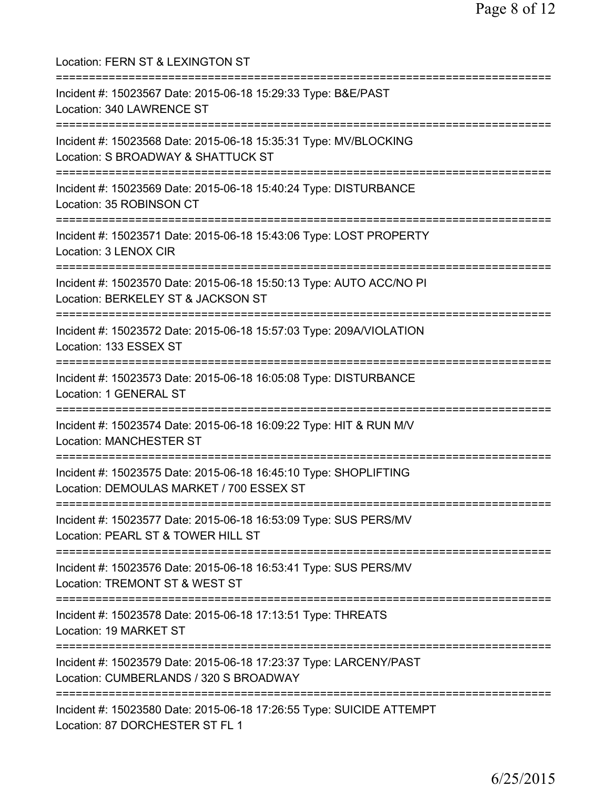| Location: FERN ST & LEXINGTON ST<br>==============================                                                                                   |
|------------------------------------------------------------------------------------------------------------------------------------------------------|
| Incident #: 15023567 Date: 2015-06-18 15:29:33 Type: B&E/PAST<br>Location: 340 LAWRENCE ST<br>===================================                    |
| Incident #: 15023568 Date: 2015-06-18 15:35:31 Type: MV/BLOCKING<br>Location: S BROADWAY & SHATTUCK ST<br>================================           |
| Incident #: 15023569 Date: 2015-06-18 15:40:24 Type: DISTURBANCE<br>Location: 35 ROBINSON CT                                                         |
| Incident #: 15023571 Date: 2015-06-18 15:43:06 Type: LOST PROPERTY<br>Location: 3 LENOX CIR                                                          |
| Incident #: 15023570 Date: 2015-06-18 15:50:13 Type: AUTO ACC/NO PI<br>Location: BERKELEY ST & JACKSON ST<br>:=======================                |
| Incident #: 15023572 Date: 2015-06-18 15:57:03 Type: 209A/VIOLATION<br>Location: 133 ESSEX ST                                                        |
| Incident #: 15023573 Date: 2015-06-18 16:05:08 Type: DISTURBANCE<br>Location: 1 GENERAL ST                                                           |
| Incident #: 15023574 Date: 2015-06-18 16:09:22 Type: HIT & RUN M/V<br><b>Location: MANCHESTER ST</b>                                                 |
| Incident #: 15023575 Date: 2015-06-18 16:45:10 Type: SHOPLIFTING<br>Location: DEMOULAS MARKET / 700 ESSEX ST<br>==================================== |
| Incident #: 15023577 Date: 2015-06-18 16:53:09 Type: SUS PERS/MV<br>Location: PEARL ST & TOWER HILL ST                                               |
| Incident #: 15023576 Date: 2015-06-18 16:53:41 Type: SUS PERS/MV<br>Location: TREMONT ST & WEST ST                                                   |
| Incident #: 15023578 Date: 2015-06-18 17:13:51 Type: THREATS<br>Location: 19 MARKET ST                                                               |
| Incident #: 15023579 Date: 2015-06-18 17:23:37 Type: LARCENY/PAST<br>Location: CUMBERLANDS / 320 S BROADWAY                                          |
| Incident #: 15023580 Date: 2015-06-18 17:26:55 Type: SUICIDE ATTEMPT<br>Location: 87 DORCHESTER ST FL 1                                              |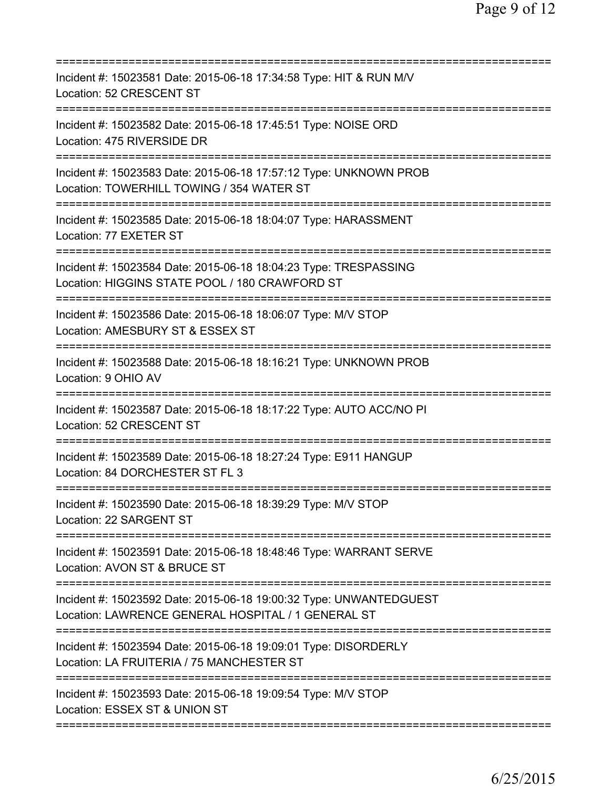| Incident #: 15023581 Date: 2015-06-18 17:34:58 Type: HIT & RUN M/V<br>Location: 52 CRESCENT ST                                                        |
|-------------------------------------------------------------------------------------------------------------------------------------------------------|
| Incident #: 15023582 Date: 2015-06-18 17:45:51 Type: NOISE ORD<br>Location: 475 RIVERSIDE DR                                                          |
| Incident #: 15023583 Date: 2015-06-18 17:57:12 Type: UNKNOWN PROB<br>Location: TOWERHILL TOWING / 354 WATER ST                                        |
| Incident #: 15023585 Date: 2015-06-18 18:04:07 Type: HARASSMENT<br>Location: 77 EXETER ST                                                             |
| Incident #: 15023584 Date: 2015-06-18 18:04:23 Type: TRESPASSING<br>Location: HIGGINS STATE POOL / 180 CRAWFORD ST                                    |
| ===================================<br>Incident #: 15023586 Date: 2015-06-18 18:06:07 Type: M/V STOP<br>Location: AMESBURY ST & ESSEX ST<br>========= |
| Incident #: 15023588 Date: 2015-06-18 18:16:21 Type: UNKNOWN PROB<br>Location: 9 OHIO AV                                                              |
| Incident #: 15023587 Date: 2015-06-18 18:17:22 Type: AUTO ACC/NO PI<br>Location: 52 CRESCENT ST                                                       |
| Incident #: 15023589 Date: 2015-06-18 18:27:24 Type: E911 HANGUP<br>Location: 84 DORCHESTER ST FL 3                                                   |
| Incident #: 15023590 Date: 2015-06-18 18:39:29 Type: M/V STOP<br>Location: 22 SARGENT ST                                                              |
| Incident #: 15023591 Date: 2015-06-18 18:48:46 Type: WARRANT SERVE<br>Location: AVON ST & BRUCE ST                                                    |
| Incident #: 15023592 Date: 2015-06-18 19:00:32 Type: UNWANTEDGUEST<br>Location: LAWRENCE GENERAL HOSPITAL / 1 GENERAL ST                              |
| Incident #: 15023594 Date: 2015-06-18 19:09:01 Type: DISORDERLY<br>Location: LA FRUITERIA / 75 MANCHESTER ST                                          |
| Incident #: 15023593 Date: 2015-06-18 19:09:54 Type: M/V STOP<br>Location: ESSEX ST & UNION ST                                                        |
|                                                                                                                                                       |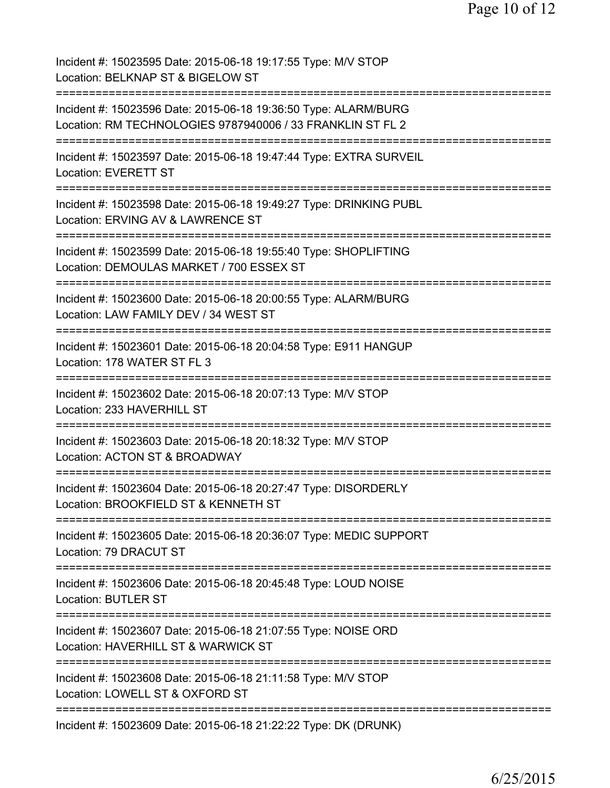Incident #: 15023595 Date: 2015-06-18 19:17:55 Type: M/V STOP Location: BELKNAP ST & BIGELOW ST =========================================================================== Incident #: 15023596 Date: 2015-06-18 19:36:50 Type: ALARM/BURG Location: RM TECHNOLOGIES 9787940006 / 33 FRANKLIN ST FL 2 =========================================================================== Incident #: 15023597 Date: 2015-06-18 19:47:44 Type: EXTRA SURVEIL Location: EVERETT ST =========================================================================== Incident #: 15023598 Date: 2015-06-18 19:49:27 Type: DRINKING PUBL Location: ERVING AV & LAWRENCE ST =========================================================================== Incident #: 15023599 Date: 2015-06-18 19:55:40 Type: SHOPLIFTING Location: DEMOULAS MARKET / 700 ESSEX ST =========================================================================== Incident #: 15023600 Date: 2015-06-18 20:00:55 Type: ALARM/BURG Location: LAW FAMILY DEV / 34 WEST ST =========================================================================== Incident #: 15023601 Date: 2015-06-18 20:04:58 Type: E911 HANGUP Location: 178 WATER ST FL 3 =========================================================================== Incident #: 15023602 Date: 2015-06-18 20:07:13 Type: M/V STOP Location: 233 HAVERHILL ST =========================================================================== Incident #: 15023603 Date: 2015-06-18 20:18:32 Type: M/V STOP Location: ACTON ST & BROADWAY =========================================================================== Incident #: 15023604 Date: 2015-06-18 20:27:47 Type: DISORDERLY Location: BROOKFIELD ST & KENNETH ST =========================================================================== Incident #: 15023605 Date: 2015-06-18 20:36:07 Type: MEDIC SUPPORT Location: 79 DRACUT ST =========================================================================== Incident #: 15023606 Date: 2015-06-18 20:45:48 Type: LOUD NOISE Location: BUTLER ST =========================================================================== Incident #: 15023607 Date: 2015-06-18 21:07:55 Type: NOISE ORD Location: HAVERHILL ST & WARWICK ST =========================================================================== Incident #: 15023608 Date: 2015-06-18 21:11:58 Type: M/V STOP Location: LOWELL ST & OXFORD ST =========================================================================== Incident #: 15023609 Date: 2015-06-18 21:22:22 Type: DK (DRUNK)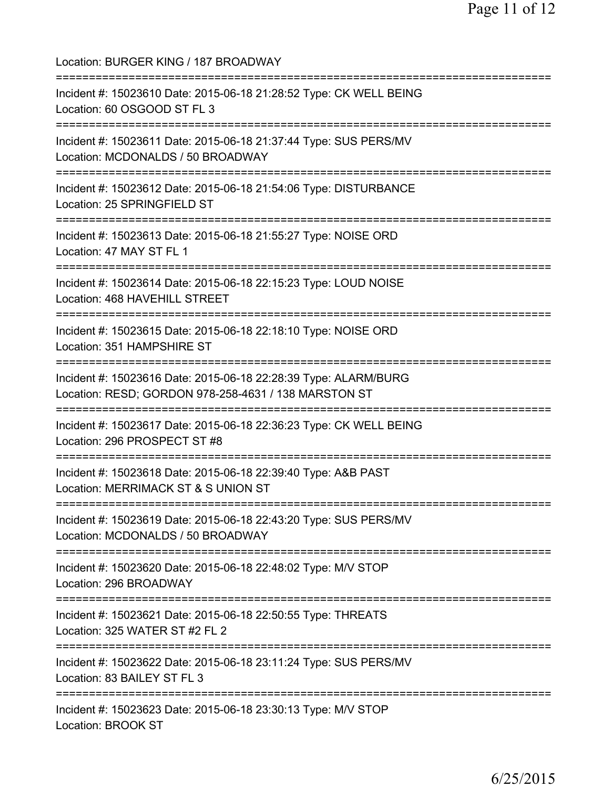Location: BURGER KING / 187 BROADWAY =========================================================================== Incident #: 15023610 Date: 2015-06-18 21:28:52 Type: CK WELL BEING Location: 60 OSGOOD ST FL 3 =========================================================================== Incident #: 15023611 Date: 2015-06-18 21:37:44 Type: SUS PERS/MV Location: MCDONALDS / 50 BROADWAY =========================================================================== Incident #: 15023612 Date: 2015-06-18 21:54:06 Type: DISTURBANCE Location: 25 SPRINGFIELD ST =========================================================================== Incident #: 15023613 Date: 2015-06-18 21:55:27 Type: NOISE ORD Location: 47 MAY ST FL 1 =========================================================================== Incident #: 15023614 Date: 2015-06-18 22:15:23 Type: LOUD NOISE Location: 468 HAVEHILL STREET =========================================================================== Incident #: 15023615 Date: 2015-06-18 22:18:10 Type: NOISE ORD Location: 351 HAMPSHIRE ST =========================================================================== Incident #: 15023616 Date: 2015-06-18 22:28:39 Type: ALARM/BURG Location: RESD; GORDON 978-258-4631 / 138 MARSTON ST =========================================================================== Incident #: 15023617 Date: 2015-06-18 22:36:23 Type: CK WELL BEING Location: 296 PROSPECT ST #8 =========================================================================== Incident #: 15023618 Date: 2015-06-18 22:39:40 Type: A&B PAST Location: MERRIMACK ST & S UNION ST =========================================================================== Incident #: 15023619 Date: 2015-06-18 22:43:20 Type: SUS PERS/MV Location: MCDONALDS / 50 BROADWAY =========================================================================== Incident #: 15023620 Date: 2015-06-18 22:48:02 Type: M/V STOP Location: 296 BROADWAY =========================================================================== Incident #: 15023621 Date: 2015-06-18 22:50:55 Type: THREATS Location: 325 WATER ST #2 FL 2 =========================================================================== Incident #: 15023622 Date: 2015-06-18 23:11:24 Type: SUS PERS/MV Location: 83 BAILEY ST FL 3 =========================================================================== Incident #: 15023623 Date: 2015-06-18 23:30:13 Type: M/V STOP Location: BROOK ST